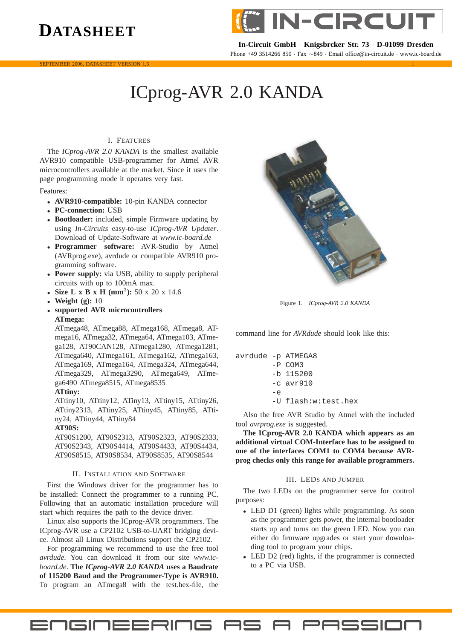## **DATASHEET**





**In-Circuit GmbH** · **Knigsbrcker Str. 73** · **D-01099 Dresden** Phone +49 3514266 850 · Fax ∼849 · Email office@in-circuit.de · www.ic-board.de

# ICprog-AVR 2.0 KANDA

### I. FEATURES

The *ICprog-AVR 2.0 KANDA* is the smallest available AVR910 compatible USB-programmer for Atmel AVR microcontrollers available at the market. Since it uses the page programming mode it operates very fast.

Features:

- **AVR910-compatible:** 10-pin KANDA connector
- **PC-connection:** USB
- **Bootloader:** included, simple Firmware updating by using *In-Circuits* easy-to-use *ICprog-AVR Updater*. Download of Update-Software at *www.ic-board.de*
- **Programmer software:** AVR-Studio by Atmel (AVRprog.exe), avrdude or compatible AVR910 programming software.
- **Power supply:** via USB, ability to supply peripheral circuits with up to 100mA max.
- **Size L x B x H (mm<sup>3</sup>): 50 x 20 x 14.6**
- **Weight (g):** 10
- **supported AVR microcontrollers ATmega:**

ATmega48, ATmega88, ATmega168, ATmega8, ATmega16, ATmega32, ATmega64, ATmega103, ATmega128, AT90CAN128, ATmega1280, ATmega1281, ATmega640, ATmega161, ATmega162, ATmega163, ATmega169, ATmega164, ATmega324, ATmega644, ATmega329, ATmega3290, ATmega649, ATmega6490 ATmega8515, ATmega8535

**ATtiny:**

ATtiny10, ATtiny12, ATiny13, ATtiny15, ATtiny26, ATtiny2313, ATtiny25, ATtiny45, ATtiny85, ATtiny24, ATtiny44, ATtiny84

**AT90S:**

AT90S1200, AT90S2313, AT90S2323, AT90S2333, AT90S2343, AT90S4414, AT90S4433, AT90S4434, AT90S8515, AT90S8534, AT90S8535, AT90S8544

#### II. INSTALLATION AND SOFTWARE

First the Windows driver for the programmer has to be installed: Connect the programmer to a running PC. Following that an automatic installation procedure will start which requires the path to the device driver.

Linux also supports the ICprog-AVR programmers. The ICprog-AVR use a CP2102 USB-to-UART bridging device. Almost all Linux Distributions support the CP2102.

For programming we recommend to use the free tool *avrdude*. You can download it from our site *www.icboard.de*. **The** *ICprog-AVR 2.0 KANDA* **uses a Baudrate of 115200 Baud and the Programmer-Type is AVR910.** To program an ATmega8 with the test.hex-file, the

**ENGINEERING AS** 



Figure 1. *ICprog-AVR 2.0 KANDA*

command line for *AVRdude* should look like this:

|             | $avrdude$ -p $ATMEGAB$ |  |
|-------------|------------------------|--|
|             | $-P$ COM3              |  |
|             | $-b$ 115200            |  |
|             | $-c$ avr $910$         |  |
| $-\epsilon$ |                        |  |
|             | -U flash:w:test.hex    |  |

Also the free AVR Studio by Atmel with the included tool *avrprog.exe* is suggested.

**The ICprog-AVR 2.0 KANDA which appears as an additional virtual COM-Interface has to be assigned to one of the interfaces COM1 to COM4 because AVRprog checks only this range for available programmers.**

#### III. LEDS AND JUMPER

The two LEDs on the programmer serve for control purposes:

- LED D1 (green) lights while programming. As soon as the programmer gets power, the internal bootloader starts up and turns on the green LED. Now you can either do firmware upgrades or start your downloading tool to program your chips.
- LED D2 (red) lights, if the programmer is connected to a PC via USB.

A PASSION